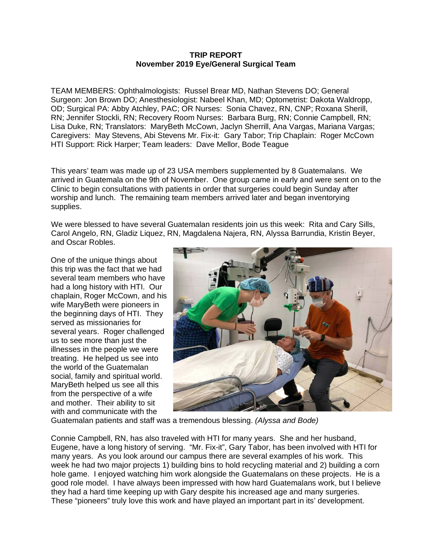## **TRIP REPORT November 2019 Eye/General Surgical Team**

TEAM MEMBERS: Ophthalmologists: Russel Brear MD, Nathan Stevens DO; General Surgeon: Jon Brown DO; Anesthesiologist: Nabeel Khan, MD; Optometrist: Dakota Waldropp, OD; Surgical PA: Abby Atchley, PAC; OR Nurses: Sonia Chavez, RN, CNP; Roxana Sherill, RN; Jennifer Stockli, RN; Recovery Room Nurses: Barbara Burg, RN; Connie Campbell, RN; Lisa Duke, RN; Translators: MaryBeth McCown, Jaclyn Sherrill, Ana Vargas, Mariana Vargas; Caregivers: May Stevens, Abi Stevens Mr. Fix-it: Gary Tabor; Trip Chaplain: Roger McCown HTI Support: Rick Harper; Team leaders: Dave Mellor, Bode Teague

This years' team was made up of 23 USA members supplemented by 8 Guatemalans. We arrived in Guatemala on the 9th of November. One group came in early and were sent on to the Clinic to begin consultations with patients in order that surgeries could begin Sunday after worship and lunch. The remaining team members arrived later and began inventorying supplies.

We were blessed to have several Guatemalan residents join us this week: Rita and Cary Sills, Carol Angelo, RN, Gladiz Liquez, RN, Magdalena Najera, RN, Alyssa Barrundia, Kristin Beyer, and Oscar Robles.

One of the unique things about this trip was the fact that we had several team members who have had a long history with HTI. Our chaplain, Roger McCown, and his wife MaryBeth were pioneers in the beginning days of HTI. They served as missionaries for several years. Roger challenged us to see more than just the illnesses in the people we were treating. He helped us see into the world of the Guatemalan social, family and spiritual world. MaryBeth helped us see all this from the perspective of a wife and mother. Their ability to sit with and communicate with the



Guatemalan patients and staff was a tremendous blessing. *(Alyssa and Bode)*

Connie Campbell, RN, has also traveled with HTI for many years. She and her husband, Eugene, have a long history of serving. "Mr. Fix-it", Gary Tabor, has been involved with HTI for many years. As you look around our campus there are several examples of his work. This week he had two major projects 1) building bins to hold recycling material and 2) building a corn hole game. I enjoyed watching him work alongside the Guatemalans on these projects. He is a good role model. I have always been impressed with how hard Guatemalans work, but I believe they had a hard time keeping up with Gary despite his increased age and many surgeries. These "pioneers" truly love this work and have played an important part in its' development.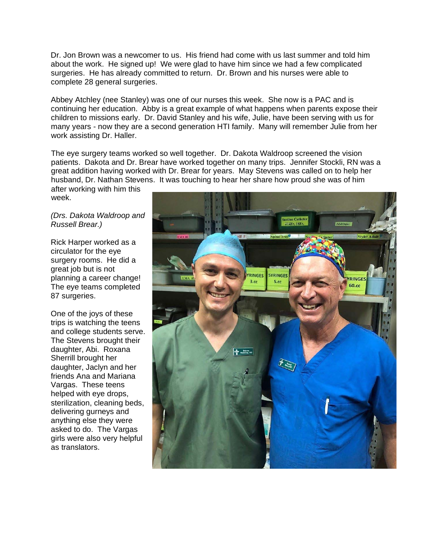Dr. Jon Brown was a newcomer to us. His friend had come with us last summer and told him about the work. He signed up! We were glad to have him since we had a few complicated surgeries. He has already committed to return. Dr. Brown and his nurses were able to complete 28 general surgeries.

Abbey Atchley (nee Stanley) was one of our nurses this week. She now is a PAC and is continuing her education. Abby is a great example of what happens when parents expose their children to missions early. Dr. David Stanley and his wife, Julie, have been serving with us for many years - now they are a second generation HTI family. Many will remember Julie from her work assisting Dr. Haller.

The eye surgery teams worked so well together. Dr. Dakota Waldroop screened the vision patients. Dakota and Dr. Brear have worked together on many trips. Jennifer Stockli, RN was a great addition having worked with Dr. Brear for years. May Stevens was called on to help her husband, Dr. Nathan Stevens. It was touching to hear her share how proud she was of him

after working with him this week.

## *(Drs. Dakota Waldroop and Russell Brear.)*

Rick Harper worked as a circulator for the eye surgery rooms. He did a great job but is not planning a career change! The eye teams completed 87 surgeries.

One of the joys of these trips is watching the teens and college students serve. The Stevens brought their daughter, Abi. Roxana Sherrill brought her daughter, Jaclyn and her friends Ana and Mariana Vargas. These teens helped with eye drops, sterilization, cleaning beds, delivering gurneys and anything else they were asked to do. The Vargas girls were also very helpful as translators.